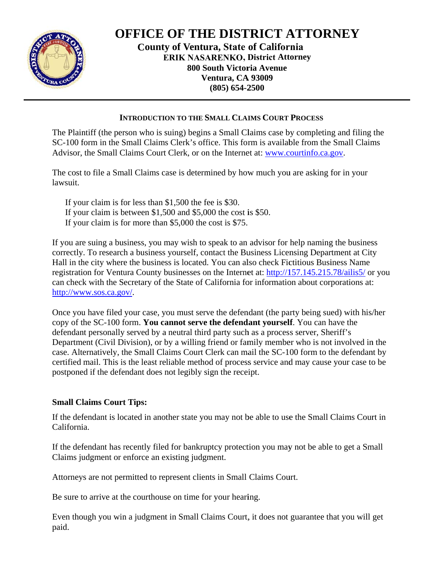

## **OFFICE OF THE DISTRICT ATTORNEY**

**County of Ventura, State of California ERIK NASARENKO, District Attorney 800 South Victoria Avenue** Ventura, CA 93009  $(805) 654 - 2500$ 

## **INTRODUCTION TO THE SMALL CLAIMS COURT PROCESS**

The Plaintiff (the person who is suing) begins a Small Claims case by completing and filing the SC-100 form in the Small Claims Clerk's office. This form is available from the Small Claims Advisor, the Small Claims Court Clerk, or on the Internet at: www.courtinfo.ca.gov.

The cost to file a Small Claims case is determined by how much you are asking for in your lawsuit.

- If your claim is for less than  $$1,500$  the fee is \$30.
- If your claim is between  $$1,500$  and  $$5,000$  the cost is \$50.
- If your claim is for more than  $$5,000$  the cost is \$75.

If you are suing a business, you may wish to speak to an advisor for help naming the business correctly. To research a business yourself, contact the Business Licensing Department at City Hall in the city where the business is located. You can also check Fictitious Business Name registration for Ventura County businesses on the Internet at: http://157.145.215.78/ailis5/ or you can check with the Secretary of the State of California for information about corporations at: http://www.sos.ca.gov/.

Once you have filed your case, you must serve the defendant (the party being sued) with his/her copy of the SC-100 form. You cannot serve the defendant yourself. You can have the defendant personally served by a neutral third party such as a process server, Sheriff's Department (Civil Division), or by a willing friend or family member who is not involved in the case. Alternatively, the Small Claims Court Clerk can mail the SC-100 form to the defendant by certified mail. This is the least reliable method of process service and may cause your case to be postponed if the defendant does not legibly sign the receipt.

## **Small Claims Court Tips:**

If the defendant is located in another state you may not be able to use the Small Claims Court in California.

If the defendant has recently filed for bankruptcy protection you may not be able to get a Small Claims judgment or enforce an existing judgment.

Attorneys are not permitted to represent clients in Small Claims Court.

Be sure to arrive at the courthouse on time for your hearing.

Even though you win a judgment in Small Claims Court, it does not guarantee that you will get paid.